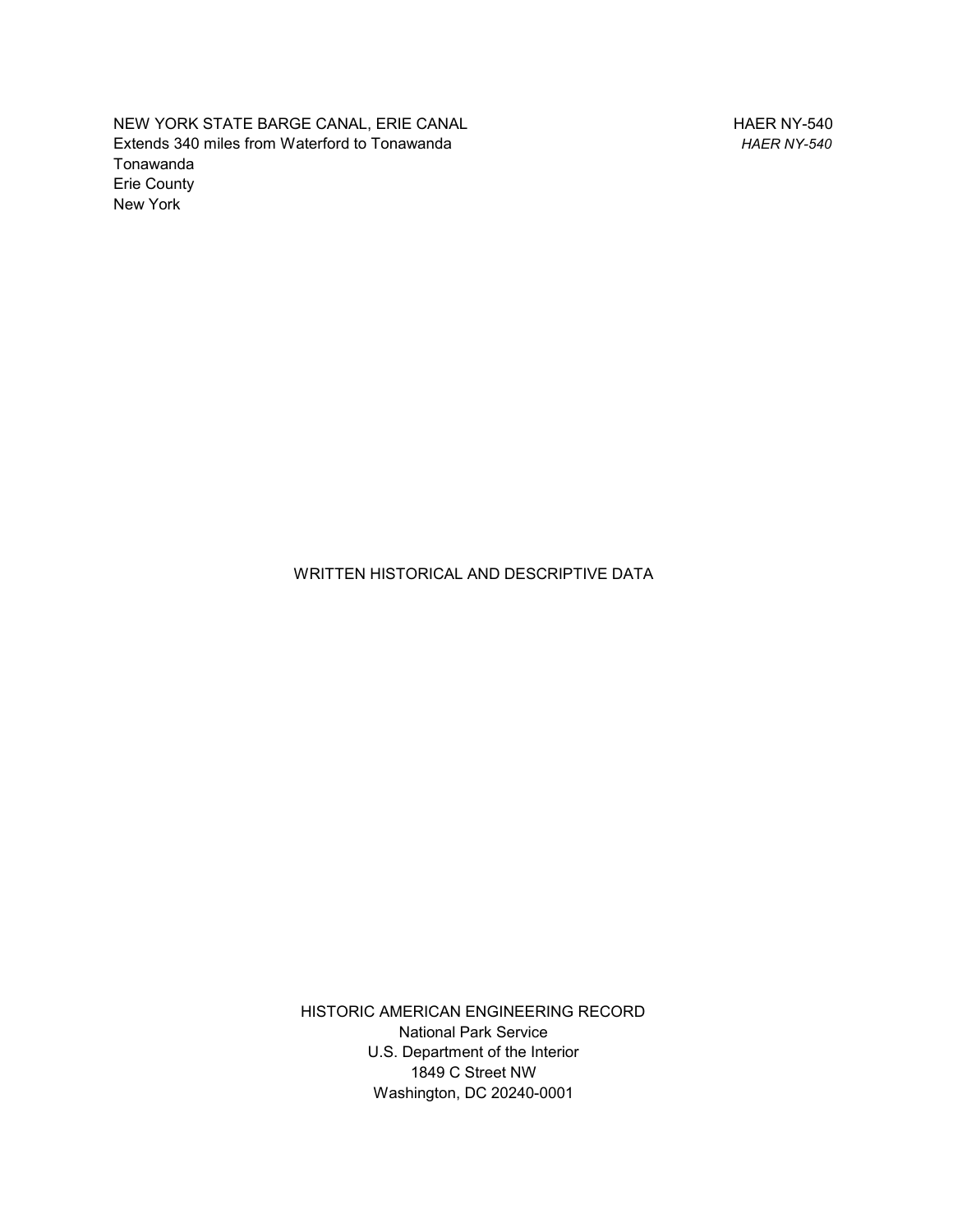NEW YORK STATE BARGE CANAL, ERIE CANAL Extends 340 miles from Waterford to Tonawanda Tonawanda Erie County New York

HAER NY-540 *HAER NY-540*

WRITTEN HISTORICAL AND DESCRIPTIVE DATA

HISTORIC AMERICAN ENGINEERING RECORD National Park Service U.S. Department of the Interior 1849 C Street NW Washington, DC 20240-0001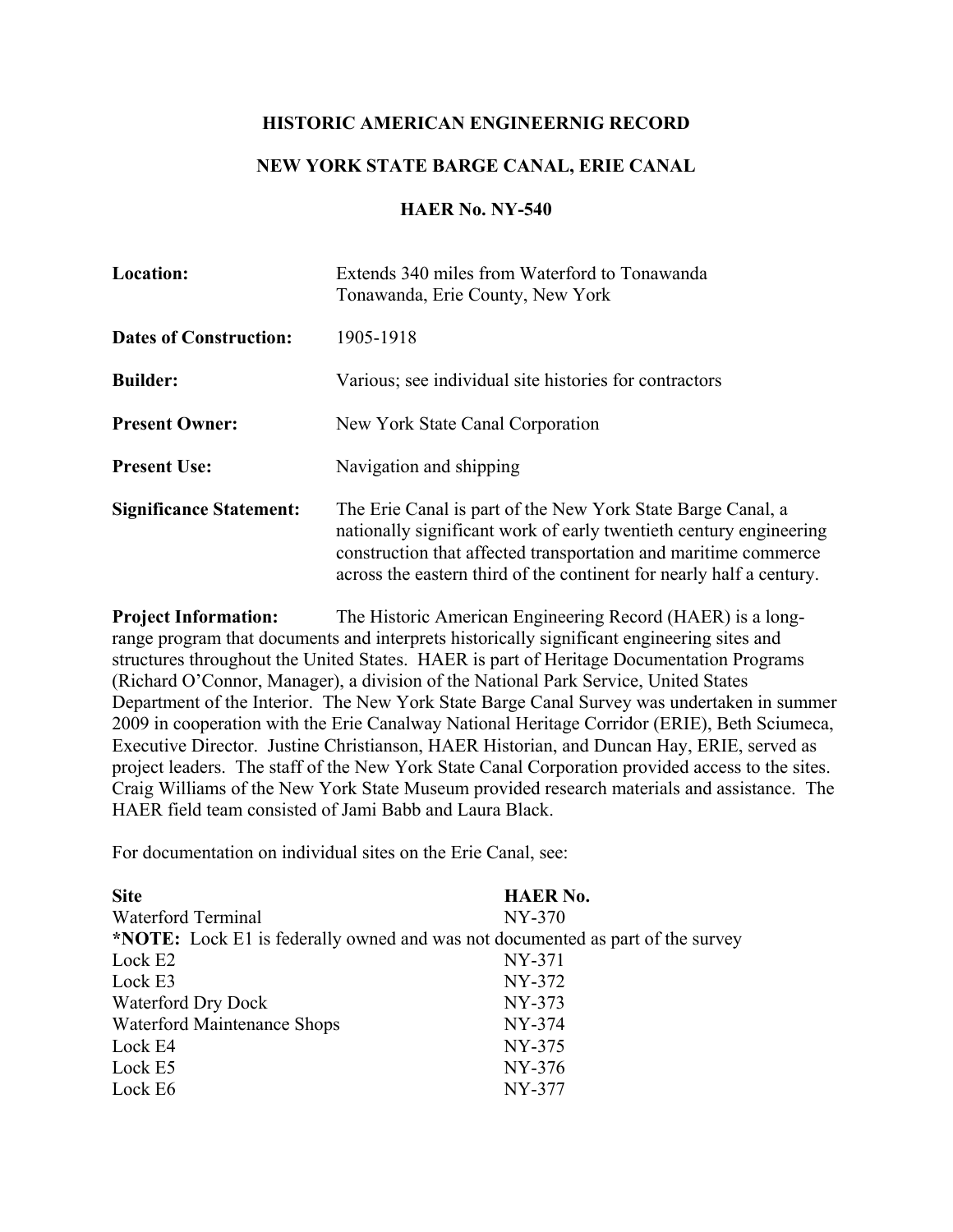## **HISTORIC AMERICAN ENGINEERNIG RECORD**

## **NEW YORK STATE BARGE CANAL, ERIE CANAL**

## **HAER No. NY-540**

| <b>Location:</b>               | Extends 340 miles from Waterford to Tonawanda<br>Tonawanda, Erie County, New York                                                                                                                                                                                            |
|--------------------------------|------------------------------------------------------------------------------------------------------------------------------------------------------------------------------------------------------------------------------------------------------------------------------|
| <b>Dates of Construction:</b>  | 1905-1918                                                                                                                                                                                                                                                                    |
| <b>Builder:</b>                | Various; see individual site histories for contractors                                                                                                                                                                                                                       |
| <b>Present Owner:</b>          | New York State Canal Corporation                                                                                                                                                                                                                                             |
| <b>Present Use:</b>            | Navigation and shipping                                                                                                                                                                                                                                                      |
| <b>Significance Statement:</b> | The Erie Canal is part of the New York State Barge Canal, a<br>nationally significant work of early twentieth century engineering<br>construction that affected transportation and maritime commerce<br>across the eastern third of the continent for nearly half a century. |

**Project Information:** The Historic American Engineering Record (HAER) is a longrange program that documents and interprets historically significant engineering sites and structures throughout the United States. HAER is part of Heritage Documentation Programs (Richard O'Connor, Manager), a division of the National Park Service, United States Department of the Interior. The New York State Barge Canal Survey was undertaken in summer 2009 in cooperation with the Erie Canalway National Heritage Corridor (ERIE), Beth Sciumeca, Executive Director. Justine Christianson, HAER Historian, and Duncan Hay, ERIE, served as project leaders. The staff of the New York State Canal Corporation provided access to the sites. Craig Williams of the New York State Museum provided research materials and assistance. The HAER field team consisted of Jami Babb and Laura Black.

For documentation on individual sites on the Erie Canal, see:

| <b>Site</b>                 | <b>HAER No.</b>                                                                       |
|-----------------------------|---------------------------------------------------------------------------------------|
| Waterford Terminal          | NY-370                                                                                |
|                             | <b>*NOTE:</b> Lock E1 is federally owned and was not documented as part of the survey |
| Lock E2                     | NY-371                                                                                |
| Lock E3                     | NY-372                                                                                |
| Waterford Dry Dock          | NY-373                                                                                |
| Waterford Maintenance Shops | NY-374                                                                                |
| Lock E4                     | NY-375                                                                                |
| Lock E5                     | NY-376                                                                                |
| Lock E6                     | NY-377                                                                                |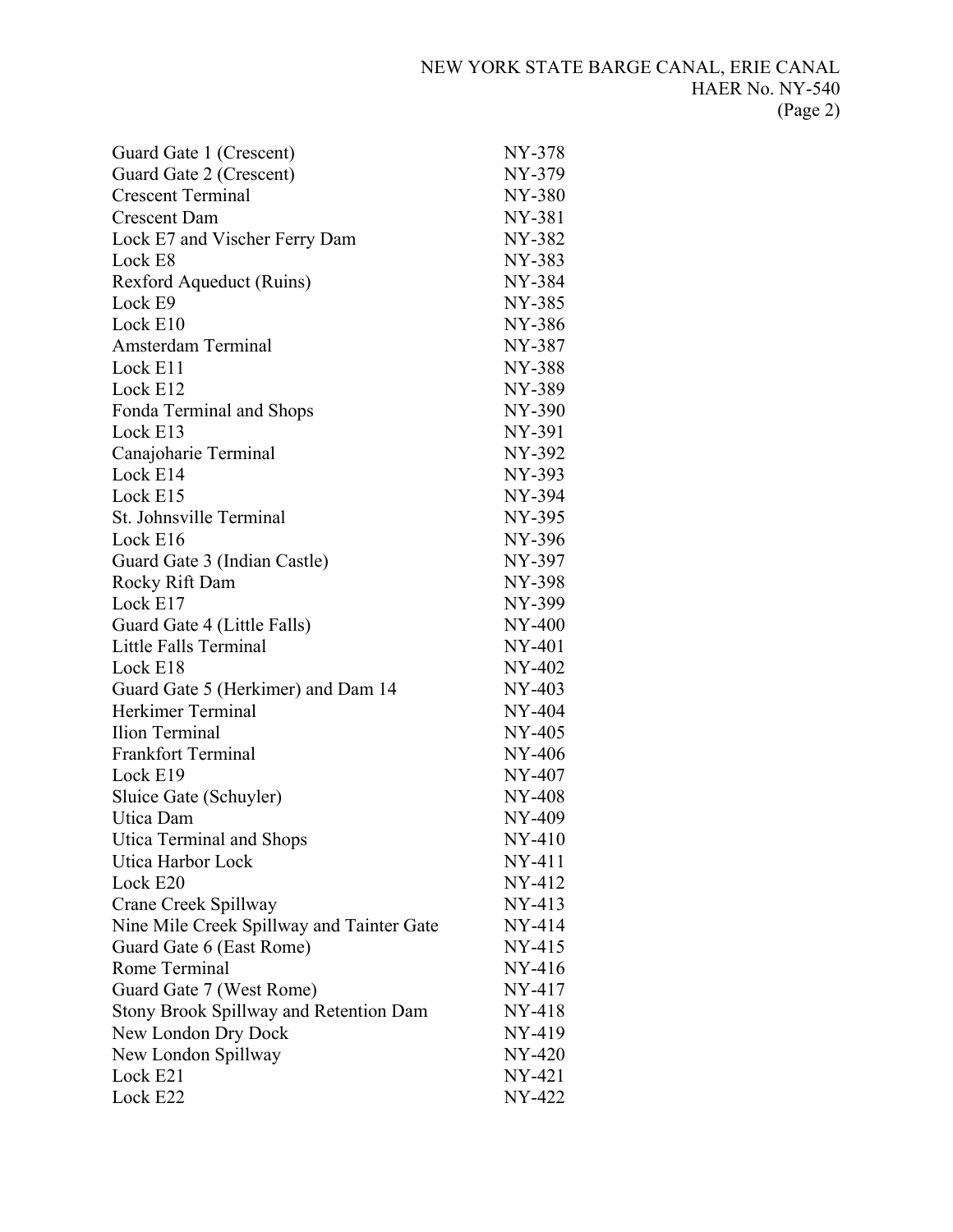| Guard Gate 1 (Crescent)                       | NY-378        |
|-----------------------------------------------|---------------|
| Guard Gate 2 (Crescent)                       | NY-379        |
| <b>Crescent Terminal</b>                      | <b>NY-380</b> |
| <b>Crescent Dam</b>                           | NY-381        |
| Lock E7 and Vischer Ferry Dam                 | NY-382        |
| Lock E8                                       | NY-383        |
| Rexford Aqueduct (Ruins)                      | NY-384        |
| Lock E9                                       | NY-385        |
| Lock E10                                      | NY-386        |
| Amsterdam Terminal                            | NY-387        |
| Lock E11                                      | <b>NY-388</b> |
| Lock E12                                      | NY-389        |
| Fonda Terminal and Shops                      | NY-390        |
| Lock E13                                      | NY-391        |
| Canajoharie Terminal                          | NY-392        |
| Lock E14                                      | NY-393        |
| Lock E15                                      | NY-394        |
| St. Johnsville Terminal                       | NY-395        |
| Lock E16                                      | NY-396        |
| Guard Gate 3 (Indian Castle)                  | NY-397        |
| Rocky Rift Dam                                | <b>NY-398</b> |
| Lock E17                                      | NY-399        |
| Guard Gate 4 (Little Falls)                   | NY-400        |
| <b>Little Falls Terminal</b>                  | NY-401        |
| Lock E18                                      | NY-402        |
| Guard Gate 5 (Herkimer) and Dam 14            | NY-403        |
| Herkimer Terminal                             | NY-404        |
| Ilion Terminal                                | NY-405        |
| <b>Frankfort Terminal</b>                     | NY-406        |
| Lock E19                                      | NY-407        |
| Sluice Gate (Schuyler)                        | NY-408        |
| Utica Dam                                     | NY-409        |
| Utica Terminal and Shops                      | NY-410        |
| Utica Harbor Lock                             | $NY-411$      |
| Lock E20                                      | NY-412        |
| Crane Creek Spillway                          | NY-413        |
| Nine Mile Creek Spillway and Tainter Gate     | NY-414        |
| Guard Gate 6 (East Rome)                      | NY-415        |
| Rome Terminal                                 | NY-416        |
| Guard Gate 7 (West Rome)                      | NY-417        |
| <b>Stony Brook Spillway and Retention Dam</b> | NY-418        |
| New London Dry Dock                           | NY-419        |
| New London Spillway                           | NY-420        |
| Lock E21                                      | NY-421        |
| Lock E22                                      | NY-422        |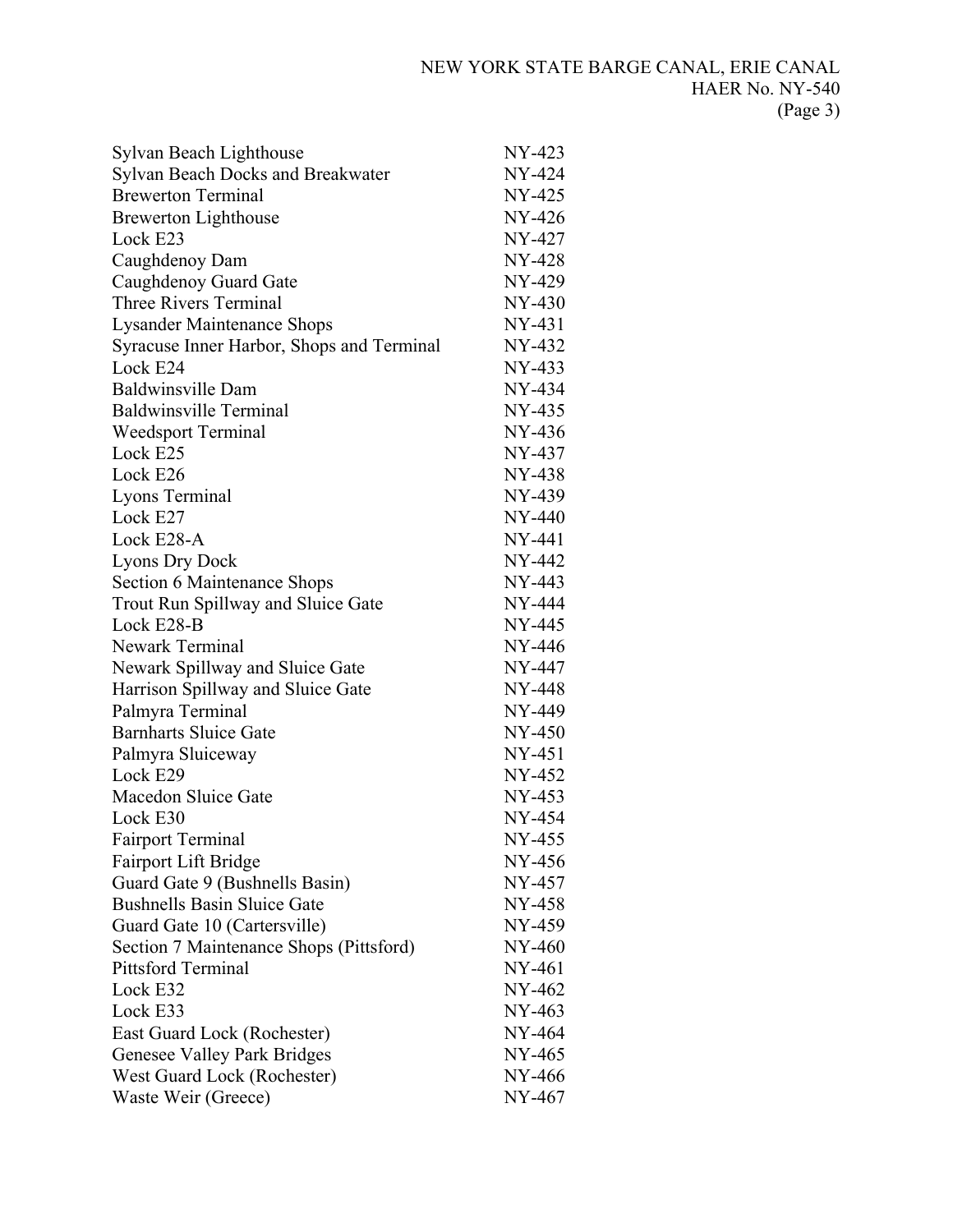| Sylvan Beach Lighthouse                   | NY-423   |
|-------------------------------------------|----------|
| Sylvan Beach Docks and Breakwater         | NY-424   |
| <b>Brewerton Terminal</b>                 | NY-425   |
| <b>Brewerton Lighthouse</b>               | NY-426   |
| Lock E23                                  | NY-427   |
| Caughdenoy Dam                            | NY-428   |
| Caughdenoy Guard Gate                     | NY-429   |
| Three Rivers Terminal                     | NY-430   |
| <b>Lysander Maintenance Shops</b>         | NY-431   |
| Syracuse Inner Harbor, Shops and Terminal | NY-432   |
| Lock E24                                  | NY-433   |
| <b>Baldwinsville Dam</b>                  | NY-434   |
| <b>Baldwinsville Terminal</b>             | NY-435   |
| <b>Weedsport Terminal</b>                 | NY-436   |
| Lock E25                                  | NY-437   |
| Lock E26                                  | NY-438   |
| Lyons Terminal                            | NY-439   |
| Lock E27                                  | NY-440   |
| Lock E28-A                                | NY-441   |
| <b>Lyons Dry Dock</b>                     | NY-442   |
| Section 6 Maintenance Shops               | $NY-443$ |
| Trout Run Spillway and Sluice Gate        | NY-444   |
| Lock E28-B                                | NY-445   |
| <b>Newark Terminal</b>                    | NY-446   |
| Newark Spillway and Sluice Gate           | NY-447   |
| Harrison Spillway and Sluice Gate         | NY-448   |
| Palmyra Terminal                          | NY-449   |
| <b>Barnharts Sluice Gate</b>              | NY-450   |
| Palmyra Sluiceway                         | $NY-451$ |
| Lock E29                                  | NY-452   |
| <b>Macedon Sluice Gate</b>                | NY-453   |
| Lock E30                                  | NY-454   |
| <b>Fairport Terminal</b>                  | NY-455   |
| Fairport Lift Bridge                      | NY-456   |
| Guard Gate 9 (Bushnells Basin)            | NY-457   |
| <b>Bushnells Basin Sluice Gate</b>        | NY-458   |
| Guard Gate 10 (Cartersville)              | NY-459   |
| Section 7 Maintenance Shops (Pittsford)   | NY-460   |
| <b>Pittsford Terminal</b>                 | $NY-461$ |
| Lock E32                                  | NY-462   |
| Lock E33                                  | NY-463   |
| East Guard Lock (Rochester)               | NY-464   |
| <b>Genesee Valley Park Bridges</b>        | NY-465   |
| West Guard Lock (Rochester)               | NY-466   |
| Waste Weir (Greece)                       | NY-467   |
|                                           |          |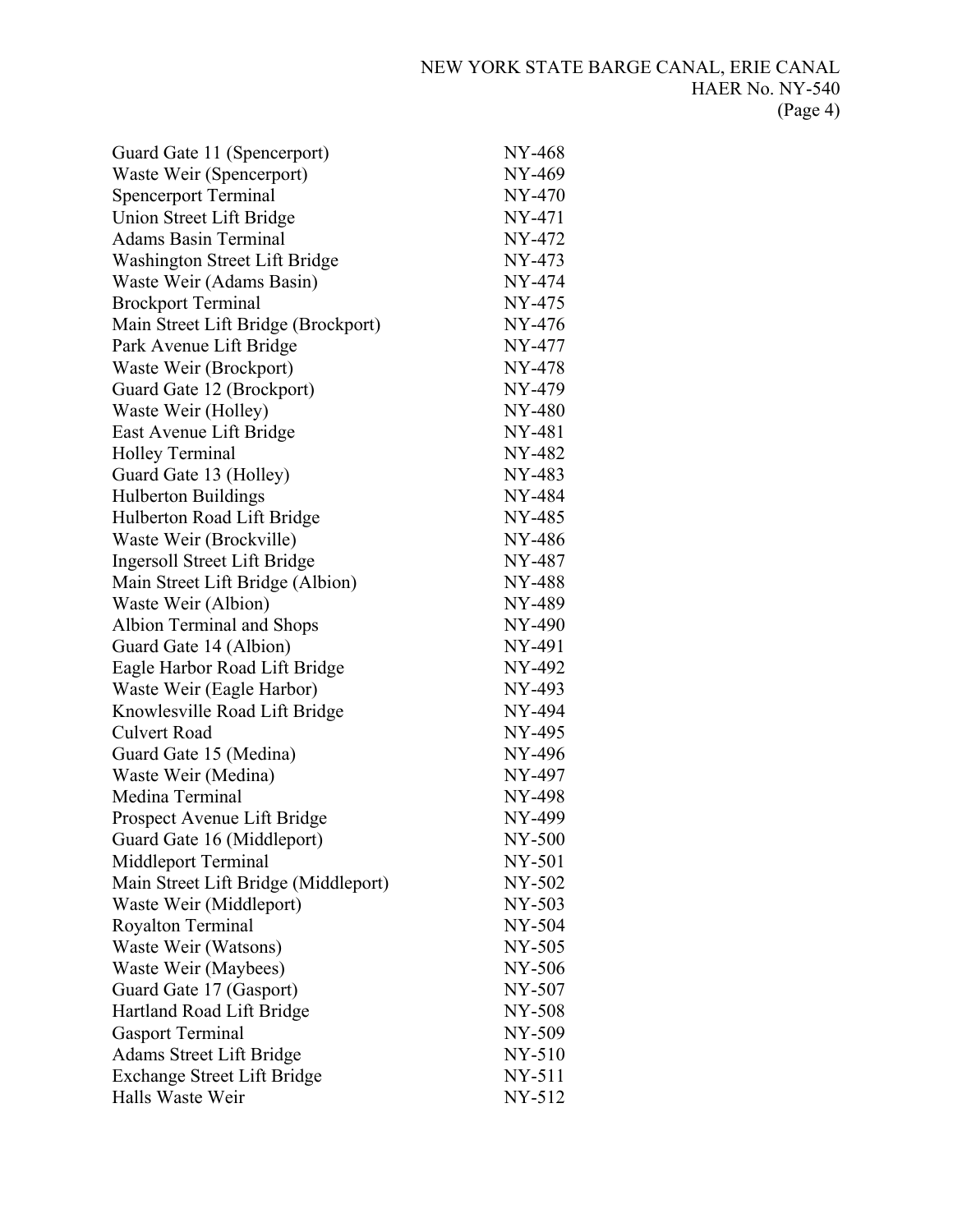| Guard Gate 11 (Spencerport)          | NY-468 |
|--------------------------------------|--------|
| Waste Weir (Spencerport)             | NY-469 |
| <b>Spencerport Terminal</b>          | NY-470 |
| Union Street Lift Bridge             | NY-471 |
| <b>Adams Basin Terminal</b>          | NY-472 |
| Washington Street Lift Bridge        | NY-473 |
| Waste Weir (Adams Basin)             | NY-474 |
| <b>Brockport Terminal</b>            | NY-475 |
| Main Street Lift Bridge (Brockport)  | NY-476 |
| Park Avenue Lift Bridge              | NY-477 |
| Waste Weir (Brockport)               | NY-478 |
| Guard Gate 12 (Brockport)            | NY-479 |
| Waste Weir (Holley)                  | NY-480 |
| East Avenue Lift Bridge              | NY-481 |
| <b>Holley Terminal</b>               | NY-482 |
| Guard Gate 13 (Holley)               | NY-483 |
| <b>Hulberton Buildings</b>           | NY-484 |
| Hulberton Road Lift Bridge           | NY-485 |
| Waste Weir (Brockville)              | NY-486 |
| <b>Ingersoll Street Lift Bridge</b>  | NY-487 |
| Main Street Lift Bridge (Albion)     | NY-488 |
| Waste Weir (Albion)                  | NY-489 |
| Albion Terminal and Shops            | NY-490 |
| Guard Gate 14 (Albion)               | NY-491 |
| Eagle Harbor Road Lift Bridge        | NY-492 |
| Waste Weir (Eagle Harbor)            | NY-493 |
| Knowlesville Road Lift Bridge        | NY-494 |
| Culvert Road                         | NY-495 |
| Guard Gate 15 (Medina)               | NY-496 |
| Waste Weir (Medina)                  | NY-497 |
| Medina Terminal                      | NY-498 |
| Prospect Avenue Lift Bridge          | NY-499 |
| Guard Gate 16 (Middleport)           | NY-500 |
| Middleport Terminal                  | NY-501 |
| Main Street Lift Bridge (Middleport) | NY-502 |
| Waste Weir (Middleport)              | NY-503 |
| <b>Royalton Terminal</b>             | NY-504 |
| Waste Weir (Watsons)                 | NY-505 |
| Waste Weir (Maybees)                 | NY-506 |
| Guard Gate 17 (Gasport)              | NY-507 |
| Hartland Road Lift Bridge            | NY-508 |
| <b>Gasport Terminal</b>              | NY-509 |
| <b>Adams Street Lift Bridge</b>      | NY-510 |
| <b>Exchange Street Lift Bridge</b>   | NY-511 |
| Halls Waste Weir                     | NY-512 |
|                                      |        |